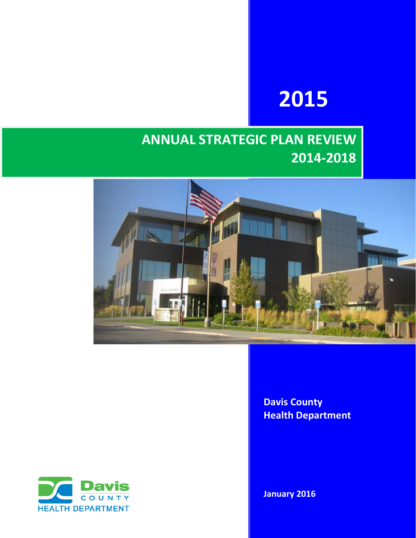# **2015**

## **ANNUAL STRATEGIC PLAN REVIEW 2014-2018**



**Davis County Health Department**



**January 2016**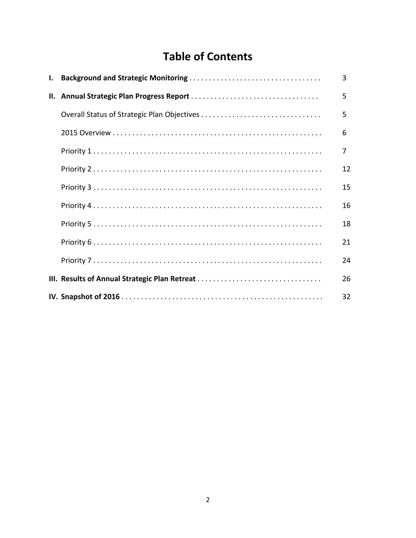## **Table of Contents**

| I. |                                               | 3  |
|----|-----------------------------------------------|----|
|    |                                               | 5  |
|    | Overall Status of Strategic Plan Objectives   | 5  |
|    |                                               | 6  |
|    |                                               | 7  |
|    |                                               | 12 |
|    |                                               | 15 |
|    |                                               | 16 |
|    |                                               | 18 |
|    |                                               | 21 |
|    |                                               | 24 |
|    | III. Results of Annual Strategic Plan Retreat | 26 |
|    |                                               | 32 |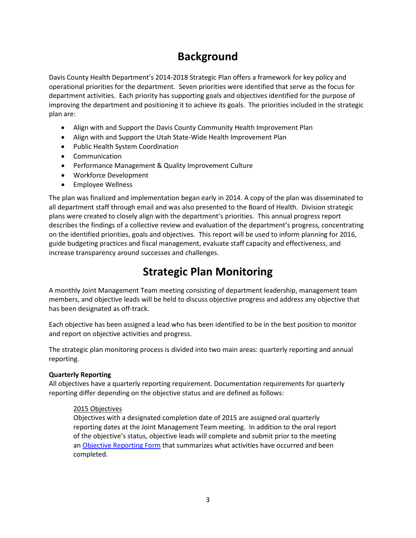### **Background**

Davis County Health Department's 2014-2018 Strategic Plan offers a framework for key policy and operational priorities for the department. Seven priorities were identified that serve as the focus for department activities. Each priority has supporting goals and objectives identified for the purpose of improving the department and positioning it to achieve its goals. The priorities included in the strategic plan are:

- Align with and Support the Davis County Community Health Improvement Plan
- Align with and Support the Utah State-Wide Health Improvement Plan
- Public Health System Coordination
- Communication
- Performance Management & Quality Improvement Culture
- Workforce Development
- Employee Wellness

The plan was finalized and implementation began early in 2014. A copy of the plan was disseminated to all department staff through email and was also presented to the Board of Health. Division strategic plans were created to closely align with the department's priorities. This annual progress report describes the findings of a collective review and evaluation of the department's progress, concentrating on the identified priorities, goals and objectives. This report will be used to inform planning for 2016, guide budgeting practices and fiscal management, evaluate staff capacity and effectiveness, and increase transparency around successes and challenges.

### **Strategic Plan Monitoring**

A monthly Joint Management Team meeting consisting of department leadership, management team members, and objective leads will be held to discuss objective progress and address any objective that has been designated as off-track.

Each objective has been assigned a lead who has been identified to be in the best position to monitor and report on objective activities and progress.

The strategic plan monitoring process is divided into two main areas: quarterly reporting and annual reporting.

### **Quarterly Reporting**

All objectives have a quarterly reporting requirement. Documentation requirements for quarterly reporting differ depending on the objective status and are defined as follows:

### 2015 Objectives

Objectives with a designated completion date of 2015 are assigned oral quarterly reporting dates at the Joint Management Team meeting. In addition to the oral report of the objective's status, objective leads will complete and submit prior to the meeting an Objective Reporting Form that summarizes what activities have occurred and been completed.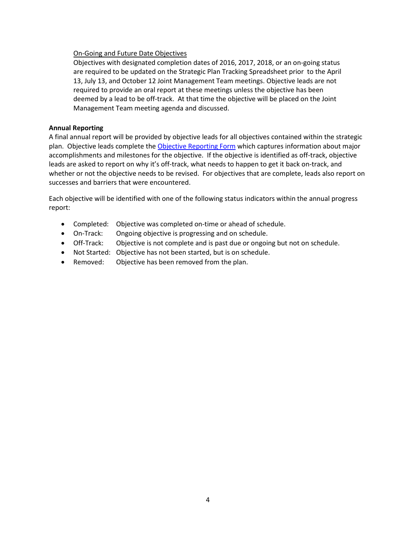### On-Going and Future Date Objectives

Objectives with designated completion dates of 2016, 2017, 2018, or an on-going status are required to be updated on the Strategic Plan Tracking Spreadsheet prior to the April 13, July 13, and October 12 Joint Management Team meetings. Objective leads are not required to provide an oral report at these meetings unless the objective has been deemed by a lead to be off-track. At that time the objective will be placed on the Joint Management Team meeting agenda and discussed.

### **Annual Reporting**

A final annual report will be provided by objective leads for all objectives contained within the strategic plan. Objective leads complete the Objective Reporting Form which captures information about major accomplishments and milestones for the objective. If the objective is identified as off-track, objective leads are asked to report on why it's off-track, what needs to happen to get it back on-track, and whether or not the objective needs to be revised. For objectives that are complete, leads also report on successes and barriers that were encountered.

Each objective will be identified with one of the following status indicators within the annual progress report:

- Completed: Objective was completed on-time or ahead of schedule.
- On-Track: Ongoing objective is progressing and on schedule.
- Off-Track: Objective is not complete and is past due or ongoing but not on schedule.
- Not Started: Objective has not been started, but is on schedule.
- Removed: Objective has been removed from the plan.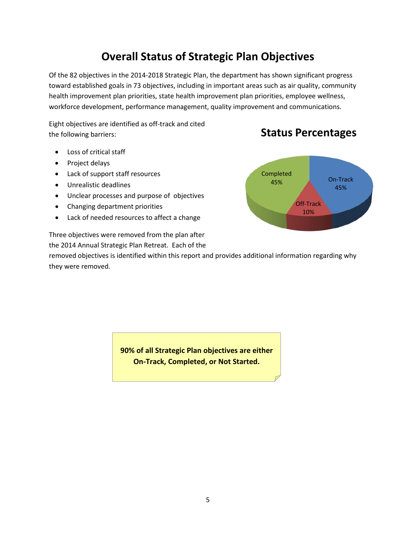### **Overall Status of Strategic Plan Objectives**

Of the 82 objectives in the 2014-2018 Strategic Plan, the department has shown significant progress toward established goals in 73 objectives, including in important areas such as air quality, community health improvement plan priorities, state health improvement plan priorities, employee wellness, workforce development, performance management, quality improvement and communications.

Eight objectives are identified as off-track and cited the following barriers:

### **Status Percentages**

- Loss of critical staff
- Project delays
- Lack of support staff resources
- Unrealistic deadlines
- Unclear processes and purpose of objectives
- Changing department priorities
- Lack of needed resources to affect a change

Three objectives were removed from the plan after the 2014 Annual Strategic Plan Retreat. Each of the

removed objectives is identified within this report and provides additional information regarding why they were removed.



**90% of all Strategic Plan objectives are either On-Track, Completed, or Not Started.**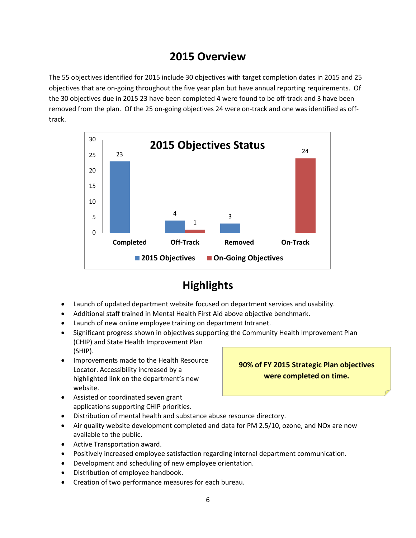### **2015 Overview**

The 55 objectives identified for 2015 include 30 objectives with target completion dates in 2015 and 25 objectives that are on-going throughout the five year plan but have annual reporting requirements. Of the 30 objectives due in 2015 23 have been completed 4 were found to be off-track and 3 have been removed from the plan. Of the 25 on-going objectives 24 were on-track and one was identified as offtrack.



### **Highlights**

- Launch of updated department website focused on department services and usability.
- Additional staff trained in Mental Health First Aid above objective benchmark.
- Launch of new online employee training on department Intranet.
- Significant progress shown in objectives supporting the Community Health Improvement Plan (CHIP) and State Health Improvement Plan (SHIP).
- Improvements made to the Health Resource Locator. Accessibility increased by a highlighted link on the department's new website.

### **90% of FY 2015 Strategic Plan objectives were completed on time.**

- Assisted or coordinated seven grant applications supporting CHIP priorities.
- Distribution of mental health and substance abuse resource directory.
- Air quality website development completed and data for PM 2.5/10, ozone, and NOx are now available to the public.
- Active Transportation award.
- Positively increased employee satisfaction regarding internal department communication.
- Development and scheduling of new employee orientation.
- Distribution of employee handbook.
- Creation of two performance measures for each bureau.

### 6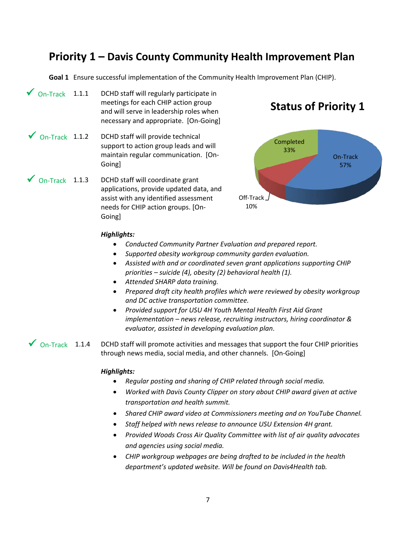### **Priority 1 – Davis County Community Health Improvement Plan**

**Goal 1** Ensure successful implementation of the Community Health Improvement Plan (CHIP).

- DCHD staff will regularly participate in meetings for each CHIP action group and will serve in leadership roles when necessary and appropriate. [On-Going]  $\sqrt{0n-Track}$  1.1.1
- DCHD staff will provide technical support to action group leads and will maintain regular communication. [On-Going]  $\sqrt{}$  On-Track 1.1.2

DCHD staff will coordinate grant applications, provide updated data, and assist with any identified assessment needs for CHIP action groups. [On-Going]  $\sqrt{}$  On-Track 1.1.3

### **Status of Priority 1**



### *Highlights:*

- *Conducted Community Partner Evaluation and prepared report.*
- *Supported obesity workgroup community garden evaluation.*
- *Assisted with and or coordinated seven grant applications supporting CHIP priorities – suicide (4), obesity (2) behavioral health (1).*
- *Attended SHARP data training.*
- *Prepared draft city health profiles which were reviewed by obesity workgroup and DC active transportation committee.*
- *Provided support for USU 4H Youth Mental Health First Aid Grant implementation – news release, recruiting instructors, hiring coordinator & evaluator, assisted in developing evaluation plan*.

DCHD staff will promote activities and messages that support the four CHIP priorities through news media, social media, and other channels. [On-Going]  $\sqrt{}$  On-Track 1.1.4

- *Regular posting and sharing of CHIP related through social media.*
- *Worked with Davis County Clipper on story about CHIP award given at active transportation and health summit.*
- *Shared CHIP award video at Commissioners meeting and on YouTube Channel.*
- *Staff helped with news release to announce USU Extension 4H grant.*
- *Provided Woods Cross Air Quality Committee with list of air quality advocates and agencies using social media.*
- *CHIP workgroup webpages are being drafted to be included in the health department's updated website. Will be found on Davis4Health tab.*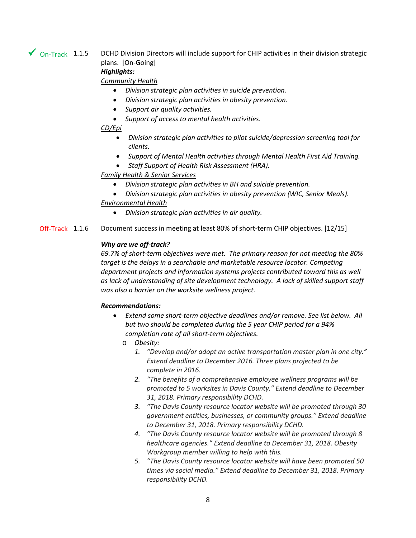### $\sqrt{}$  On-Track 1.1.5

DCHD Division Directors will include support for CHIP activities in their division strategic plans. [On-Going]

### *Highlights:*

*Community Health*

- *Division strategic plan activities in suicide prevention.*
- *Division strategic plan activities in obesity prevention.*
- *Support air quality activities.*
- *Support of access to mental health activities.*

### *CD/Epi*

- *Division strategic plan activities to pilot suicide/depression screening tool for clients.*
- *Support of Mental Health activities through Mental Health First Aid Training.*
- *Staff Support of Health Risk Assessment (HRA).*

### *Family Health & Senior Services*

- *Division strategic plan activities in BH and suicide prevention.*
- *Division strategic plan activities in obesity prevention (WIC, Senior Meals).*

### *Environmental Health*

• *Division strategic plan activities in air quality.*

Document success in meeting at least 80% of short-term CHIP objectives. [12/15] Off-Track 1.1.6

### *Why are we off-track?*

*69.7% of short-term objectives were met. The primary reason for not meeting the 80% target is the delays in a searchable and marketable resource locator. Competing department projects and information systems projects contributed toward this as well as lack of understanding of site development technology. A lack of skilled support staff was also a barrier on the worksite wellness project.* 

### *Recommendations:*

- *Extend some short-term objective deadlines and/or remove. See list below. All but two should be completed during the 5 year CHIP period for a 94% completion rate of all short-term objectives.*
	- o *Obesity:* 
		- *1. "Develop and/or adopt an active transportation master plan in one city." Extend deadline to December 2016. Three plans projected to be complete in 2016.*
		- *2. "The benefits of a comprehensive employee wellness programs will be promoted to 5 worksites in Davis County." Extend deadline to December 31, 2018. Primary responsibility DCHD.*
		- *3. "The Davis County resource locator website will be promoted through 30 government entities, businesses, or community groups." Extend deadline to December 31, 2018. Primary responsibility DCHD.*
		- *4. "The Davis County resource locator website will be promoted through 8 healthcare agencies." Extend deadline to December 31, 2018. Obesity Workgroup member willing to help with this.*
		- *5. "The Davis County resource locator website will have been promoted 50 times via social media." Extend deadline to December 31, 2018. Primary responsibility DCHD.*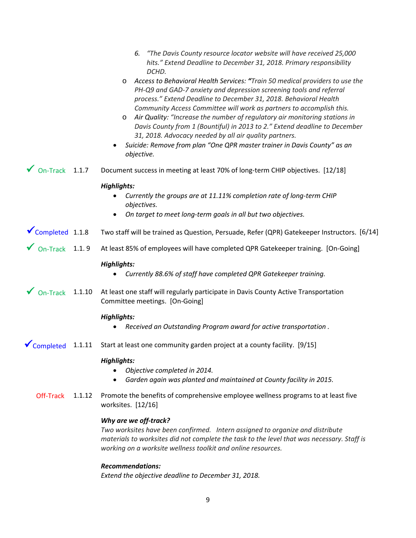|                                 | "The Davis County resource locator website will have received 25,000<br>6.<br>hits." Extend Deadline to December 31, 2018. Primary responsibility<br>DCHD.                                                                                                                                                                                                                                                                                                                                                                                                                                                                       |
|---------------------------------|----------------------------------------------------------------------------------------------------------------------------------------------------------------------------------------------------------------------------------------------------------------------------------------------------------------------------------------------------------------------------------------------------------------------------------------------------------------------------------------------------------------------------------------------------------------------------------------------------------------------------------|
|                                 | Access to Behavioral Health Services: "Train 50 medical providers to use the<br>O<br>PH-Q9 and GAD-7 anxiety and depression screening tools and referral<br>process." Extend Deadline to December 31, 2018. Behavioral Health<br>Community Access Committee will work as partners to accomplish this.<br>Air Quality: "Increase the number of regulatory air monitoring stations in<br>$\circ$<br>Davis County from 1 (Bountiful) in 2013 to 2." Extend deadline to December<br>31, 2018. Advocacy needed by all air quality partners.<br>Suicide: Remove from plan "One QPR master trainer in Davis County" as an<br>objective. |
| On-Track 1.1.7                  | Document success in meeting at least 70% of long-term CHIP objectives. [12/18]                                                                                                                                                                                                                                                                                                                                                                                                                                                                                                                                                   |
|                                 | <b>Highlights:</b><br>Currently the groups are at 11.11% completion rate of long-term CHIP                                                                                                                                                                                                                                                                                                                                                                                                                                                                                                                                       |
|                                 | objectives.                                                                                                                                                                                                                                                                                                                                                                                                                                                                                                                                                                                                                      |
|                                 | On target to meet long-term goals in all but two objectives.<br>٠                                                                                                                                                                                                                                                                                                                                                                                                                                                                                                                                                                |
| $\sqrt{\text{Completed}}$ 1.1.8 | Two staff will be trained as Question, Persuade, Refer (QPR) Gatekeeper Instructors. [6/14]                                                                                                                                                                                                                                                                                                                                                                                                                                                                                                                                      |
| On-Track 1.1.9                  | At least 85% of employees will have completed QPR Gatekeeper training. [On-Going]                                                                                                                                                                                                                                                                                                                                                                                                                                                                                                                                                |
|                                 | <b>Highlights:</b><br>Currently 88.6% of staff have completed QPR Gatekeeper training.                                                                                                                                                                                                                                                                                                                                                                                                                                                                                                                                           |
| 1.1.10                          | At least one staff will regularly participate in Davis County Active Transportation<br>Committee meetings. [On-Going]                                                                                                                                                                                                                                                                                                                                                                                                                                                                                                            |
|                                 | <b>Highlights:</b>                                                                                                                                                                                                                                                                                                                                                                                                                                                                                                                                                                                                               |
|                                 | Received an Outstanding Program award for active transportation.                                                                                                                                                                                                                                                                                                                                                                                                                                                                                                                                                                 |
|                                 | 1.1.11 Start at least one community garden project at a county facility. [9/15]                                                                                                                                                                                                                                                                                                                                                                                                                                                                                                                                                  |
|                                 | <b>Highlights:</b><br>Objective completed in 2014.<br>$\bullet$<br>Garden again was planted and maintained at County facility in 2015.                                                                                                                                                                                                                                                                                                                                                                                                                                                                                           |
| 1.1.12                          | Promote the benefits of comprehensive employee wellness programs to at least five<br>worksites. $[12/16]$                                                                                                                                                                                                                                                                                                                                                                                                                                                                                                                        |
|                                 | Why are we off-track?<br>Two worksites have been confirmed. Intern assigned to organize and distribute<br>materials to worksites did not complete the task to the level that was necessary. Staff is                                                                                                                                                                                                                                                                                                                                                                                                                             |
|                                 | working on a worksite wellness toolkit and online resources.                                                                                                                                                                                                                                                                                                                                                                                                                                                                                                                                                                     |
|                                 |                                                                                                                                                                                                                                                                                                                                                                                                                                                                                                                                                                                                                                  |

*Extend the objective deadline to December 31, 2018.*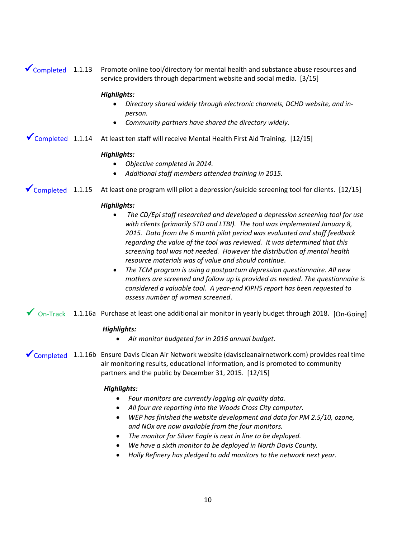$\checkmark$  Completed 1.1.13 Promote online tool/directory for mental health and substance abuse resources and service providers through department website and social media. [3/15]

### *Highlights:*

- *Directory shared widely through electronic channels, DCHD website, and inperson.*
- *Community partners have shared the directory widely.*

◆ Completed 1.1.14 At least ten staff will receive Mental Health First Aid Training. [12/15]

### *Highlights:*

- *Objective completed in 2014.*
- *Additional staff members attended training in 2015.*
- At least one program will pilot a depression/suicide screening tool for clients. [12/15]  $\sqrt{\frac{20}{2}}$  Completed 1.1.15

### *Highlights:*

- *The CD/Epi staff researched and developed a depression screening tool for use with clients (primarily STD and LTBI). The tool was implemented January 8, 2015. Data from the 6 month pilot period was evaluated and staff feedback regarding the value of the tool was reviewed. It was determined that this screening tool was not needed. However the distribution of mental health resource materials was of value and should continue*.
- *The TCM program is using a postpartum depression questionnaire. All new mothers are screened and follow up is provided as needed. The questionnaire is considered a valuable tool. A year-end KIPHS report has been requested to assess number of women screened*.
- $\checkmark$  On-Track 1.1.16a Purchase at least one additional air monitor in yearly budget through 2018. [On-Going]

### *Highlights:*

• *Air monitor budgeted for in 2016 annual budget.* 

◆ Completed 1.1.16b Ensure Davis Clean Air Network website (daviscleanairnetwork.com) provides real time air monitoring results, educational information, and is promoted to community partners and the public by December 31, 2015. [12/15]

- *Four monitors are currently logging air quality data.*
- *All four are reporting into the Woods Cross City computer.*
- *WEP has finished the website development and data for PM 2.5/10, ozone, and NOx are now available from the four monitors.*
- *The monitor for Silver Eagle is next in line to be deployed.*
- *We have a sixth monitor to be deployed in North Davis County.*
- *Holly Refinery has pledged to add monitors to the network next year.*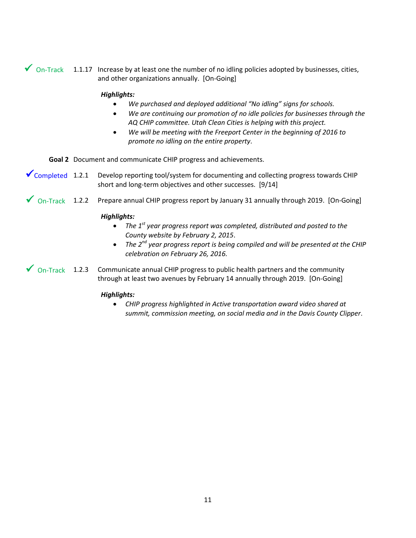$\checkmark$  On-Track 1.1.17 Increase by at least one the number of no idling policies adopted by businesses, cities, and other organizations annually. [On-Going]

### *Highlights:*

- *We purchased and deployed additional "No idling" signs for schools.*
- *We are continuing our promotion of no idle policies for businesses through the AQ CHIP committee. Utah Clean Cities is helping with this project.*
- *We will be meeting with the Freeport Center in the beginning of 2016 to promote no idling on the entire property*.

**Goal 2** Document and communicate CHIP progress and achievements.

- ◆ Completed 1.2.1 Develop reporting tool/system for documenting and collecting progress towards CHIP short and long-term objectives and other successes. [9/14]
- Prepare annual CHIP progress report by January 31 annually through 2019. [On-Going]  $On-Track$  1.2.2

### *Highlights:*

- *The 1st year progress report was completed, distributed and posted to the County website by February 2, 2015*.
- *The 2nd year progress report is being compiled and will be presented at the CHIP celebration on February 26, 2016.*
- 1.2.3 Communicate annual CHIP progress to public health partners and the community through at least two avenues by February 14 annually through 2019. [On-Going]  $\sqrt{0n-Track}$  1.2.3

### *Highlights:*

• *CHIP progress highlighted in Active transportation award video shared at summit, commission meeting, on social media and in the Davis County Clipper*.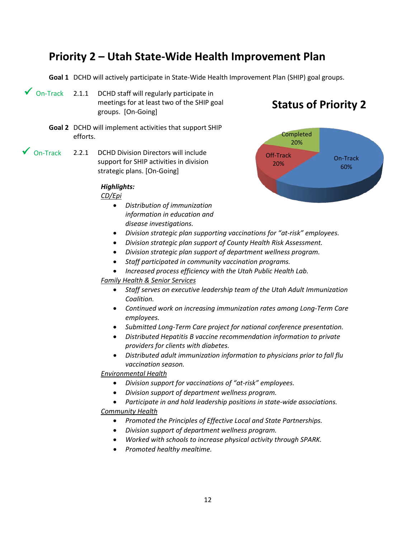### **Priority 2 – Utah State-Wide Health Improvement Plan**

**Goal 1** DCHD will actively participate in State-Wide Health Improvement Plan (SHIP) goal groups.

- DCHD staff will regularly participate in meetings for at least two of the SHIP goal groups. [On-Going]  $\sqrt{}$  On-Track 2.1.1
	- **Goal 2** DCHD will implement activities that support SHIP efforts.
- 2.2.1 DCHD Division Directors will include support for SHIP activities in division strategic plans. [On-Going]  $\sqrt{ }$  On-Track

### *Highlights:*

*CD/Epi*

- *Distribution of immunization information in education and disease investigations.*
- *Division strategic plan supporting vaccinations for "at-risk" employees.*
- *Division strategic plan support of County Health Risk Assessment.*
- *Division strategic plan support of department wellness program.*
- *Staff participated in community vaccination programs.*
- *Increased process efficiency with the Utah Public Health Lab.*

### *Family Health & Senior Services*

- *Staff serves on executive leadership team of the Utah Adult Immunization Coalition.*
- *Continued work on increasing immunization rates among Long-Term Care employees.*
- *Submitted Long-Term Care project for national conference presentation.*
- *Distributed Hepatitis B vaccine recommendation information to private providers for clients with diabetes.*
- *Distributed adult immunization information to physicians prior to fall flu vaccination season.*

### *Environmental Health*

- *Division support for vaccinations of "at-risk" employees.*
- *Division support of department wellness program.*
- *Participate in and hold leadership positions in state-wide associations. Community Health*

- *Promoted the Principles of Effective Local and State Partnerships.*
- *Division support of department wellness program.*
- *Worked with schools to increase physical activity through SPARK.*
- *Promoted healthy mealtime.*

### **Status of Priority 2**

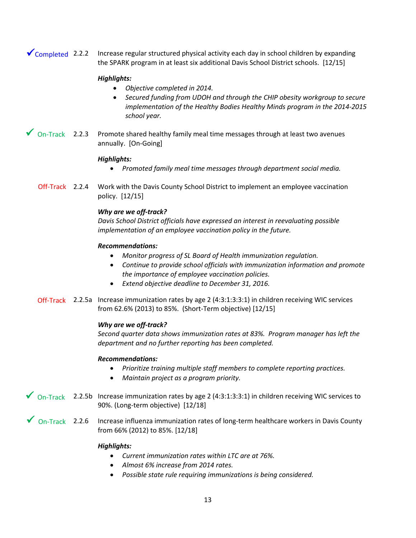2.2.2 Increase regular structured physical activity each day in school children by expanding the SPARK program in at least six additional Davis School District schools. [12/15]  $\sqrt{\text{Completely}}$  2.2.2

### *Highlights:*

- *Objective completed in 2014.*
- *Secured funding from UDOH and through the CHIP obesity workgroup to secure implementation of the Healthy Bodies Healthy Minds program in the 2014-2015 school year.*
- $\checkmark$  On-Track 2.2.3 Promote shared healthy family meal time messages through at least two avenues annually. [On-Going]

### *Highlights:*

- *Promoted family meal time messages through department social media.*
- 2.2.4 Work with the Davis County School District to implement an employee vaccination policy. [12/15] Off-Track 2.2.4

### *Why are we off-track?*

*Davis School District officials have expressed an interest in reevaluating possible implementation of an employee vaccination policy in the future.* 

### *Recommendations:*

- *Monitor progress of SL Board of Health immunization regulation.*
- *Continue to provide school officials with immunization information and promote the importance of employee vaccination policies.*
- *Extend objective deadline to December 31, 2016.*
- Off-Track 2.2.5a Increase immunization rates by age 2 (4:3:1:3:3:1) in children receiving WIC services from 62.6% (2013) to 85%. (Short-Term objective) [12/15]

### *Why are we off-track?*

*Second quarter data shows immunization rates at 83%. Program manager has left the department and no further reporting has been completed.* 

### *Recommendations:*

- *Prioritize training multiple staff members to complete reporting practices.*
- *Maintain project as a program priority.*
- $\checkmark$  On-Track 2.2.5b Increase immunization rates by age 2 (4:3:1:3:3:1) in children receiving WIC services to 90%. (Long-term objective) [12/18]
- $\checkmark$  On-Track 2.2.6 Increase influenza immunization rates of long-term healthcare workers in Davis County from 66% (2012) to 85%. [12/18]

- *Current immunization rates within LTC are at 76%.*
- *Almost 6% increase from 2014 rates.*
- *Possible state rule requiring immunizations is being considered.*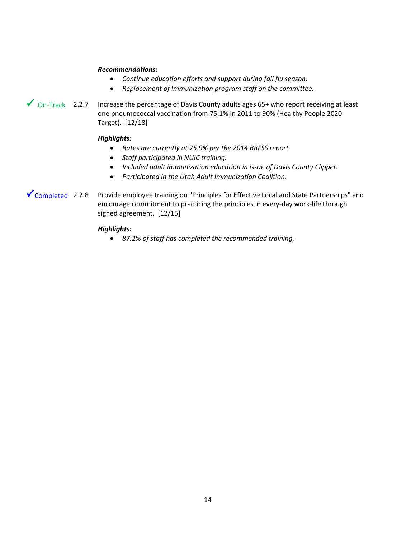### *Recommendations:*

- *Continue education efforts and support during fall flu season.*
- *Replacement of Immunization program staff on the committee.*
- $\checkmark$  On-Track 2.2.7 Increase the percentage of Davis County adults ages 65+ who report receiving at least one pneumococcal vaccination from 75.1% in 2011 to 90% (Healthy People 2020 Target). [12/18]

### *Highlights:*

- *Rates are currently at 75.9% per the 2014 BRFSS report.*
- *Staff participated in NUIC training.*
- *Included adult immunization education in issue of Davis County Clipper.*
- *Participated in the Utah Adult Immunization Coalition.*
- 2.2.8 Provide employee training on "Principles for Effective Local and State Partnerships" and encourage commitment to practicing the principles in every-day work-life through signed agreement. [12/15]  $\checkmark$  Completed 2.2.8

### *Highlights:*

• *87.2% of staff has completed the recommended training.*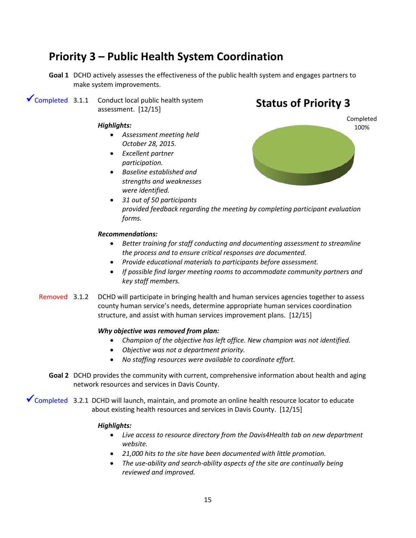### **Priority 3 – Public Health System Coordination**

- **Goal 1** DCHD actively assesses the effectiveness of the public health system and engages partners to make system improvements.
- $\checkmark$  Completed 3.1.1 Conduct local public health system assessment. [12/15]

### *Highlights:*

- *Assessment meeting held October 28, 2015.*
- *Excellent partner participation.*
- *Baseline established and strengths and weaknesses were identified.*

### **Status of Priority 3**



• *31 out of 50 participants provided feedback regarding the meeting by completing participant evaluation forms.* 

### *Recommendations:*

- *Better training for staff conducting and documenting assessment to streamline the process and to ensure critical responses are documented.*
- *Provide educational materials to participants before assessment.*
- *If possible find larger meeting rooms to accommodate community partners and key staff members.*
- DCHD will participate in bringing health and human services agencies together to assess county human service's needs, determine appropriate human services coordination structure, and assist with human services improvement plans. [12/15] Removed 3.1.2

### *Why objective was removed from plan:*

- *Champion of the objective has left office. New champion was not identified.*
- *Objective was not a department priority.*
- *No staffing resources were available to coordinate effort.*
- **Goal 2** DCHD provides the community with current, comprehensive information about health and aging network resources and services in Davis County.

◆ Completed 3.2.1 DCHD will launch, maintain, and promote an online health resource locator to educate about existing health resources and services in Davis County. [12/15]

- *Live access to resource directory from the Davis4Health tab on new department website.*
- *21,000 hits to the site have been documented with little promotion.*
- *The use-ability and search-ability aspects of the site are continually being reviewed and improved.*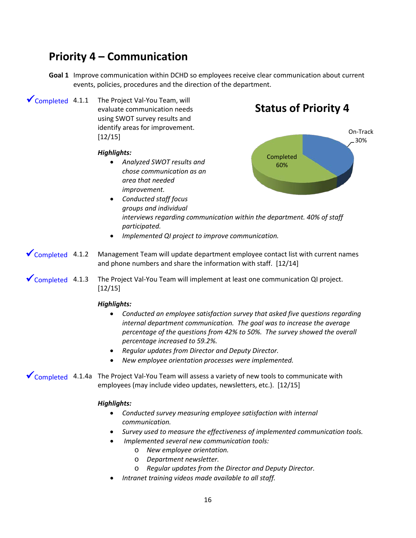### **Priority 4 – Communication**

- **Goal 1** Improve communication within DCHD so employees receive clear communication about current events, policies, procedures and the direction of the department.
- The Project Val-You Team, will evaluate communication needs using SWOT survey results and identify areas for improvement. [12/15]  $\checkmark$  Completed 4.1.1

### *Highlights:*

• *Analyzed SWOT results and chose communication as an area that needed improvement.* 

### **Status of Priority 4**



- *Conducted staff focus groups and individual interviews regarding communication within the department. 40% of staff participated.*
- *Implemented QI project to improve communication.*
- 4.1.2 Management Team will update department employee contact list with current names and phone numbers and share the information with staff. [12/14]  $\sqrt{\text{Completed}}$  4.1.2
- $\checkmark$  Completed 4.1.3 The Project Val-You Team will implement at least one communication QI project. [12/15]

### *Highlights:*

- *Conducted an employee satisfaction survey that asked five questions regarding internal department communication. The goal was to increase the average percentage of the questions from 42% to 50%. The survey showed the overall percentage increased to 59.2%.*
- *Regular updates from Director and Deputy Director.*
- *New employee orientation processes were implemented.*

 $\checkmark$  Completed 4.1.4a The Project Val-You Team will assess a variety of new tools to communicate with employees (may include video updates, newsletters, etc.). [12/15]

- *Conducted survey measuring employee satisfaction with internal communication.*
- *Survey used to measure the effectiveness of implemented communication tools.*
- *Implemented several new communication tools:*
	- o *New employee orientation.*
	- o *Department newsletter.*
	- o *Regular updates from the Director and Deputy Director.*
- *Intranet training videos made available to all staff.*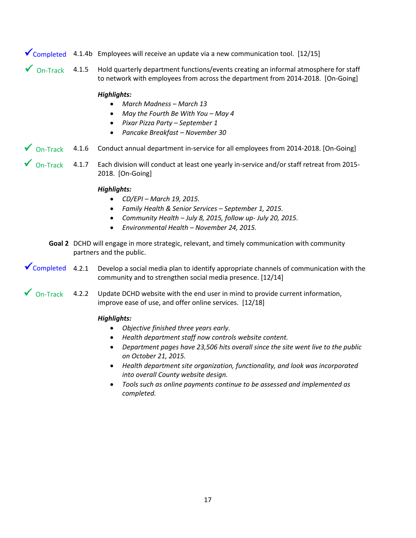### $\checkmark$  Completed 4.1.4b Employees will receive an update via a new communication tool. [12/15]

4.1.5 Hold quarterly department functions/events creating an informal atmosphere for staff to network with employees from across the department from 2014-2018. [On-Going]  $\sqrt{$  On-Track 4.1.5

### *Highlights:*

- *March Madness – March 13*
- *May the Fourth Be With You – May 4*
- *Pixar Pizza Party – September 1*
- *Pancake Breakfast – November 30*
- $\checkmark$  On-Track 4.1.6 Conduct annual department in-service for all employees from 2014-2018. [On-Going]
- $\checkmark$  On-Track 4.1.7 Each division will conduct at least one yearly in-service and/or staff retreat from 2015-2018. [On-Going]

### *Highlights:*

- *CD/EPI – March 19, 2015.*
- *Family Health & Senior Services – September 1, 2015.*
- *Community Health – July 8, 2015, follow up- July 20, 2015.*
- *Environmental Health – November 24, 2015.*
- **Goal 2** DCHD will engage in more strategic, relevant, and timely communication with community partners and the public.
- Develop a social media plan to identify appropriate channels of communication with the community and to strengthen social media presence. [12/14]  $\checkmark$  Completed 4.2.1
- Update DCHD website with the end user in mind to provide current information, improve ease of use, and offer online services. [12/18]  $On-Track$  4.2.2

- *Objective finished three years early.*
- *Health department staff now controls website content.*
- *Department pages have 23,506 hits overall since the site went live to the public on October 21, 2015.*
- *Health department site organization, functionality, and look was incorporated into overall County website design.*
- *Tools such as online payments continue to be assessed and implemented as completed.*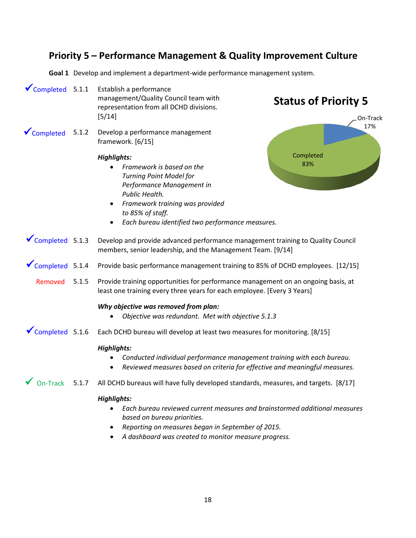### **Priority 5 – Performance Management & Quality Improvement Culture**

**Goal 1** Develop and implement a department-wide performance management system.

- Establish a performance management/Quality Council team with representation from all DCHD divisions. [5/14]  $\checkmark$  Completed 5.1.1
- 5.1.2 Develop a performance management framework. [6/15] **V** Completed

### *Highlights:*

• *Framework is based on the Turning Point Model for Performance Management in Public Health.*

### **Status of Priority 5**



- *Framework training was provided to 85% of staff.*
- *Each bureau identified two performance measures.*

#### 5.1.3 Develop and provide advanced performance management training to Quality Council members, senior leadership, and the Management Team. [9/14]  $\sqrt{\text{Completed}}$  5.1.3

#### Provide basic performance management training to 85% of DCHD employees. [12/15]  $\checkmark$  Completed 5.1.4

#### 5.1.5 Provide training opportunities for performance management on an ongoing basis, at least one training every three years for each employee. [Every 3 Years] Removed

### *Why objective was removed from plan:*

- *Objective was redundant. Met with objective 5.1.3*
- Each DCHD bureau will develop at least two measures for monitoring. [8/15]  $\checkmark$  Completed 5.1.6

### *Highlights:*

- *Conducted individual performance management training with each bureau.*
- *Reviewed measures based on criteria for effective and meaningful measures.*
- $\checkmark$  On-Track 5.1.7 All DCHD bureaus will have fully developed standards, measures, and targets. [8/17]

- *Each bureau reviewed current measures and brainstormed additional measures based on bureau priorities.*
- *Reporting on measures began in September of 2015.*
- *A dashboard was created to monitor measure progress.*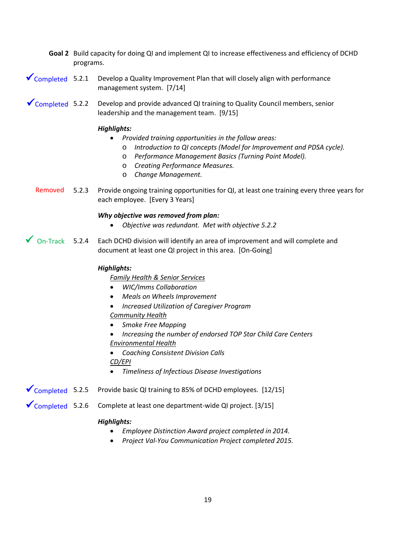- **Goal 2** Build capacity for doing QI and implement QI to increase effectiveness and efficiency of DCHD programs.
- 5.2.1 Develop a Quality Improvement Plan that will closely align with performance management system. [7/14]  $\checkmark$  Completed 5.2.1
- 5.2.2 Develop and provide advanced QI training to Quality Council members, senior leadership and the management team. [9/15]  $\sqrt{\frac{20}{2}}$ Completed 5.2.2

### *Highlights:*

- *Provided training opportunities in the follow areas:*
	- o *Introduction to QI concepts (Model for Improvement and PDSA cycle).*
	- o *Performance Management Basics (Turning Point Model).*
	- o *Creating Performance Measures.*
	- o *Change Management.*
- Provide ongoing training opportunities for QI, at least one training every three years for each employee. [Every 3 Years] Removed 5.2.3

### *Why objective was removed from plan:*

- *Objective was redundant. Met with objective 5.2.2*
- 5.2.4 Each DCHD division will identify an area of improvement and will complete and document at least one QI project in this area. [On-Going]  $\sqrt{}$  On-Track 5.2.4

### *Highlights:*

*Family Health & Senior Services*

- *WIC/Imms Collaboration*
- *Meals on Wheels Improvement*
- *Increased Utilization of Caregiver Program*

### *Community Health*

- *Smoke Free Mapping*
- *Increasing the number of endorsed TOP Star Child Care Centers Environmental Health*
- *Coaching Consistent Division Calls CD/EPI*
- *Timeliness of Infectious Disease Investigations*
- Provide basic QI training to 85% of DCHD employees. [12/15]  $\sqrt{\frac{20}{2}}$ Completed 5.2.5
- 5.2.6 Complete at least one department-wide QI project. [3/15]  $\sqrt{\frac{20}{2}}$ Completed 5.2.6

- *Employee Distinction Award project completed in 2014.*
- *Project Val-You Communication Project completed 2015.*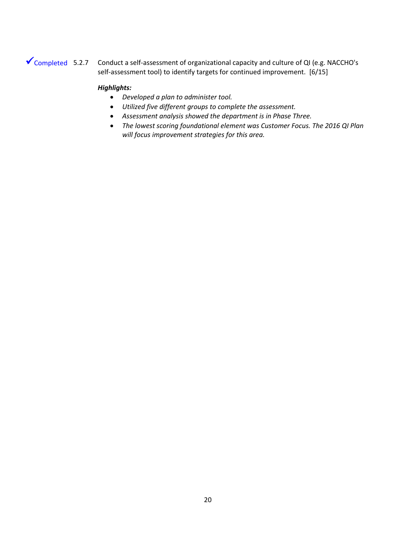### ◆ Completed 5.2.7 Conduct a self-assessment of organizational capacity and culture of QI (e.g. NACCHO's self-assessment tool) to identify targets for continued improvement. [6/15]

- *Developed a plan to administer tool.*
- *Utilized five different groups to complete the assessment.*
- *Assessment analysis showed the department is in Phase Three.*
- *The lowest scoring foundational element was Customer Focus. The 2016 QI Plan will focus improvement strategies for this area.*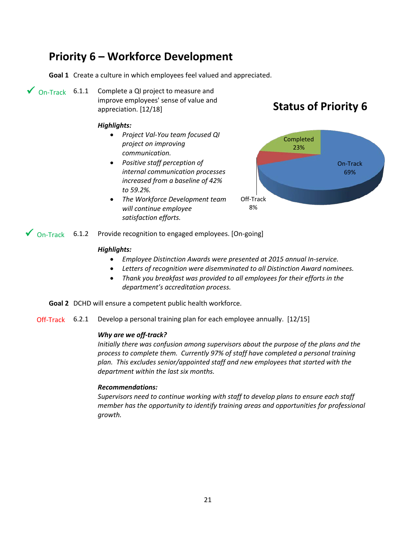### **Priority 6 – Workforce Development**

**Goal 1** Create a culture in which employees feel valued and appreciated.

 $\bigvee$  On-Track 6.1.1 Complete a QI project to measure and improve employees' sense of value and appreciation. [12/18]

### *Highlights:*

- *Project Val-You team focused QI project on improving communication.*
- *Positive staff perception of internal communication processes increased from a baseline of 42% to 59.2%.*
- *The Workforce Development team will continue employee satisfaction efforts.*

### **Status of Priority 6**



 $\checkmark$  On-Track 6.1.2 Provide recognition to engaged employees. [On-going]

### *Highlights:*

- *Employee Distinction Awards were presented at 2015 annual In-service.*
- *Letters of recognition were disemminated to all Distinction Award nominees.*
- *Thank you breakfast was provided to all employees for their efforts in the department's accreditation process.*
- **Goal 2** DCHD will ensure a competent public health workforce.

Off-Track 6.2.1 Develop a personal training plan for each employee annually. [12/15]

### *Why are we off-track?*

*Initially there was confusion among supervisors about the purpose of the plans and the process to complete them. Currently 97% of staff have completed a personal training plan. This excludes senior/appointed staff and new employees that started with the department within the last six months.* 

### *Recommendations:*

*Supervisors need to continue working with staff to develop plans to ensure each staff member has the opportunity to identify training areas and opportunities for professional growth.*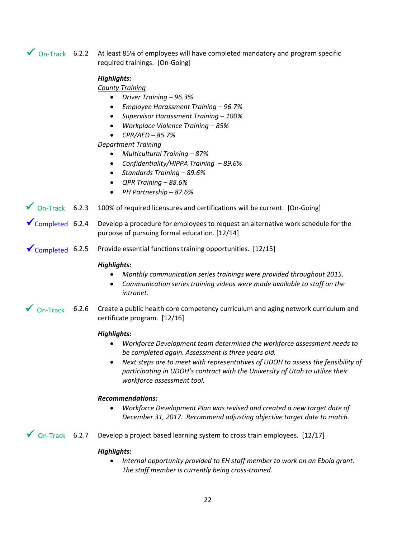$\checkmark$  On-Track 6.2.2 At least 85% of employees will have completed mandatory and program specific required trainings. [On-Going]

### *Highlights:*

### *County Training*

- *Driver Training – 96.3%*
- *Employee Harassment Training – 96.7%*
- *Supervisor Harassment Training – 100%*
- *Workplace Violence Training – 85%*
- *CPR/AED – 85.7%*

### *Department Training*

- *Multicultural Training – 87%*
- *Confidentiality/HIPPA Training – 89.6%*
- *Standards Training – 89.6%*
- *QPR Training – 88.6%*
- *PH Partnership – 87.6%*
- $\checkmark$  On-Track 6.2.3 100% of required licensures and certifications will be current. [On-Going]
- Develop a procedure for employees to request an alternative work schedule for the purpose of pursuing formal education. [12/14]  $\sqrt{\text{Completed}}$  6.2.4
- Provide essential functions training opportunities. [12/15]  $\sqrt{\frac{20}{2}}$ Completed 6.2.5

### *Highlights:*

- *Monthly communication series trainings were provided throughout 2015.*
- *Communication series training videos were made available to staff on the intranet.*
- $\checkmark$  On-Track 6.2.6 Create a public health core competency curriculum and aging network curriculum and certificate program. [12/16]

### *Highlights:*

- *Workforce Development team determined the workforce assessment needs to be completed again. Assessment is three years old.*
- *Next steps are to meet with representatives of UDOH to assess the feasibility of participating in UDOH's contract with the University of Utah to utilize their workforce assessment tool.*

### *Recommendations:*

• *Workforce Development Plan was revised and created a new target date of December 31, 2017. Recommend adjusting objective target date to match.* 

 $\checkmark$  On-Track 6.2.7 Develop a project based learning system to cross train employees. [12/17]

### *Highlights:*

• *Internal opportunity provided to EH staff member to work on an Ebola grant. The staff member is currently being cross-trained.*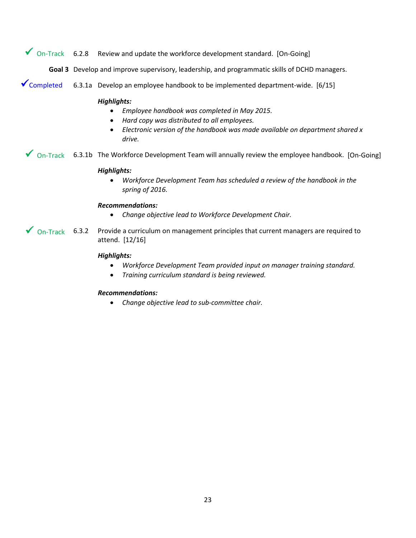Review and update the workforce development standard. [On-Going]  $\sqrt{\phantom{a}}$  On-Track 6.2.8

**Goal 3** Develop and improve supervisory, leadership, and programmatic skills of DCHD managers.

6.3.1a Develop an employee handbook to be implemented department-wide. [6/15] ◆ Completed

### *Highlights:*

- *Employee handbook was completed in May 2015.*
- *Hard copy was distributed to all employees.*
- *Electronic version of the handbook was made available on department shared x drive.*

 $\checkmark$  On-Track 6.3.1b The Workforce Development Team will annually review the employee handbook. [On-Going]

### *Highlights:*

• *Workforce Development Team has scheduled a review of the handbook in the spring of 2016.*

### *Recommendations:*

- *Change objective lead to Workforce Development Chair.*
- Provide a curriculum on management principles that current managers are required to attend. [12/16]  $\sqrt{}$  On-Track 6.3.2

### *Highlights:*

- *Workforce Development Team provided input on manager training standard.*
- *Training curriculum standard is being reviewed.*

### *Recommendations:*

• *Change objective lead to sub-committee chair.*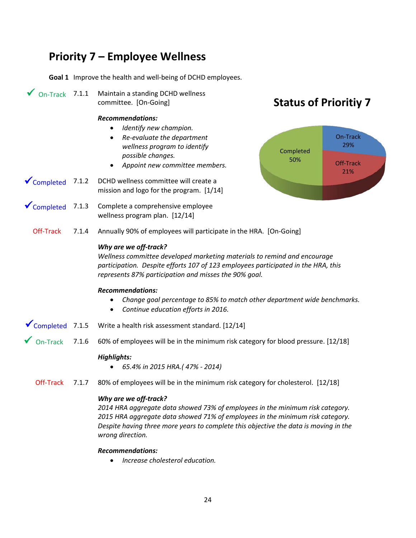### **Priority 7 – Employee Wellness**

**Goal 1** Improve the health and well-being of DCHD employees.

 $\sqrt{0n-Track}$  7.1.1

Maintain a standing DCHD wellness committee. [On-Going]

### *Recommendations:*

- *Identify new champion.*
- *Re-evaluate the department wellness program to identify possible changes.*
- *Appoint new committee members.*
- DCHD wellness committee will create a mission and logo for the program. [1/14]  $\sqrt{\frac{2}{2}}$ Completed 7.1.2
- Complete a comprehensive employee wellness program plan. [12/14]  $\sqrt{\frac{20}{2}}$ Completed 7.1.3

### **Status of Prioritiy 7**



7.1.4 Annually 90% of employees will participate in the HRA. [On-Going] Off-Track

### *Why are we off-track?*

*Wellness committee developed marketing materials to remind and encourage participation. Despite efforts 107 of 123 employees participated in the HRA, this represents 87% participation and misses the 90% goal.*

### *Recommendations:*

- *Change goal percentage to 85% to match other department wide benchmarks.*
- *Continue education efforts in 2016.*
- Write a health risk assessment standard. [12/14]  $\sqrt{\text{Completed}}$  7.1.5
- 7.1.6 60% of employees will be in the minimum risk category for blood pressure. [12/18] On-Track

### *Highlights:*

- *65.4% in 2015 HRA.( 47% - 2014)*
- 7.1.7 80% of employees will be in the minimum risk category for cholesterol. [12/18] Off-Track

### *Why are we off-track?*

*2014 HRA aggregate data showed 73% of employees in the minimum risk category. 2015 HRA aggregate data showed 71% of employees in the minimum risk category. Despite having three more years to complete this objective the data is moving in the wrong direction.*

### *Recommendations:*

• *Increase cholesterol education.*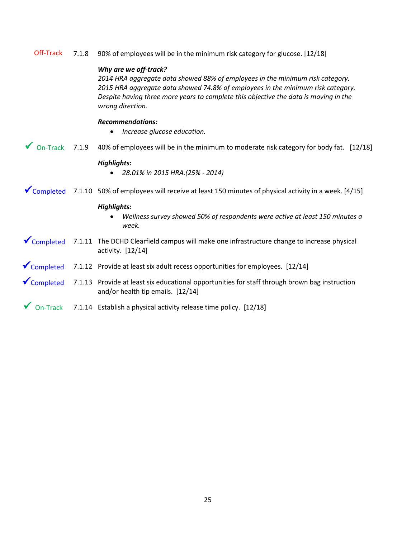|  |  | Off-Track 7.1.8 90% of employees will be in the minimum risk category for glucose. [12/18] |  |  |  |  |
|--|--|--------------------------------------------------------------------------------------------|--|--|--|--|
|--|--|--------------------------------------------------------------------------------------------|--|--|--|--|

### *Why are we off-track?*

*2014 HRA aggregate data showed 88% of employees in the minimum risk category. 2015 HRA aggregate data showed 74.8% of employees in the minimum risk category. Despite having three more years to complete this objective the data is moving in the wrong direction.*

### *Recommendations:*

- *Increase glucose education.*
- 7.1.9 40% of employees will be in the minimum to moderate risk category for body fat. [12/18]  $\sqrt{}$  On-Track 7.1.9

### *Highlights:*

- *28.01% in 2015 HRA.(25% - 2014)*
- $\checkmark$  Completed 7.1.10 50% of employees will receive at least 150 minutes of physical activity in a week. [4/15]

- *Wellness survey showed 50% of respondents were active at least 150 minutes a week.*
- ✔ Completed 7.1.11 The DCHD Clearfield campus will make one infrastructure change to increase physical activity. [12/14]
- $\checkmark$  Completed 7.1.12 Provide at least six adult recess opportunities for employees. [12/14]
- 7.1.13 Provide at least six educational opportunities for staff through brown bag instruction and/or health tip emails. [12/14]  $\checkmark$  Completed
- $\checkmark$  On-Track 7.1.14 Establish a physical activity release time policy. [12/18]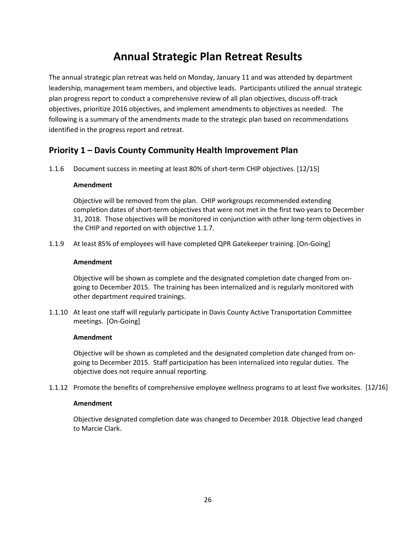### **Annual Strategic Plan Retreat Results**

The annual strategic plan retreat was held on Monday, January 11 and was attended by department leadership, management team members, and objective leads. Participants utilized the annual strategic plan progress report to conduct a comprehensive review of all plan objectives, discuss off-track objectives, prioritize 2016 objectives, and implement amendments to objectives as needed. The following is a summary of the amendments made to the strategic plan based on recommendations identified in the progress report and retreat.

### **Priority 1 – Davis County Community Health Improvement Plan**

1.1.6 Document success in meeting at least 80% of short-term CHIP objectives. [12/15]

### **Amendment**

Objective will be removed from the plan. CHIP workgroups recommended extending completion dates of short-term objectives that were not met in the first two years to December 31, 2018. Those objectives will be monitored in conjunction with other long-term objectives in the CHIP and reported on with objective 1.1.7.

1.1.9 At least 85% of employees will have completed QPR Gatekeeper training. [On-Going]

### **Amendment**

Objective will be shown as complete and the designated completion date changed from ongoing to December 2015. The training has been internalized and is regularly monitored with other department required trainings.

1.1.10 At least one staff will regularly participate in Davis County Active Transportation Committee meetings. [On-Going]

### **Amendment**

Objective will be shown as completed and the designated completion date changed from ongoing to December 2015. Staff participation has been internalized into regular duties. The objective does not require annual reporting.

1.1.12 Promote the benefits of comprehensive employee wellness programs to at least five worksites. [12/16]

### **Amendment**

Objective designated completion date was changed to December 2018. Objective lead changed to Marcie Clark.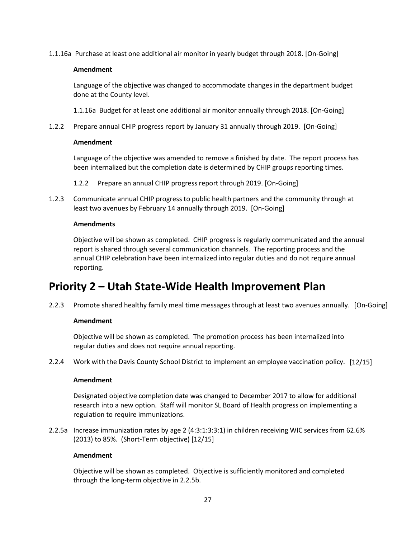1.1.16a Purchase at least one additional air monitor in yearly budget through 2018. [On-Going]

### **Amendment**

Language of the objective was changed to accommodate changes in the department budget done at the County level.

1.1.16a Budget for at least one additional air monitor annually through 2018. [On-Going]

1.2.2 Prepare annual CHIP progress report by January 31 annually through 2019. [On-Going]

### **Amendment**

Language of the objective was amended to remove a finished by date. The report process has been internalized but the completion date is determined by CHIP groups reporting times.

- 1.2.2 Prepare an annual CHIP progress report through 2019. [On-Going]
- 1.2.3 Communicate annual CHIP progress to public health partners and the community through at least two avenues by February 14 annually through 2019. [On-Going]

### **Amendments**

Objective will be shown as completed. CHIP progress is regularly communicated and the annual report is shared through several communication channels. The reporting process and the annual CHIP celebration have been internalized into regular duties and do not require annual reporting.

### **Priority 2 – Utah State-Wide Health Improvement Plan**

2.2.3 Promote shared healthy family meal time messages through at least two avenues annually. [On-Going]

### **Amendment**

Objective will be shown as completed. The promotion process has been internalized into regular duties and does not require annual reporting.

2.2.4 Work with the Davis County School District to implement an employee vaccination policy. [12/15]

### **Amendment**

Designated objective completion date was changed to December 2017 to allow for additional research into a new option. Staff will monitor SL Board of Health progress on implementing a regulation to require immunizations.

2.2.5a Increase immunization rates by age 2 (4:3:1:3:3:1) in children receiving WIC services from 62.6% (2013) to 85%. (Short-Term objective) [12/15]

### **Amendment**

Objective will be shown as completed. Objective is sufficiently monitored and completed through the long-term objective in 2.2.5b.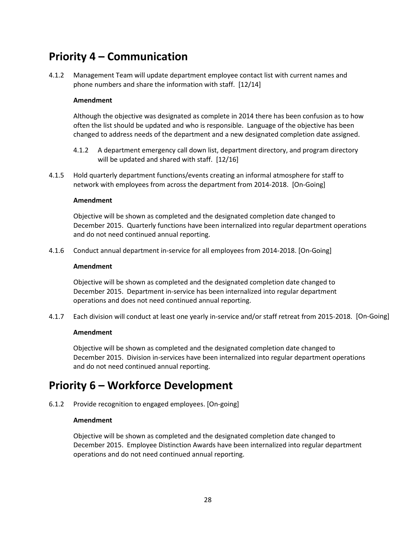### **Priority 4 – Communication**

4.1.2 Management Team will update department employee contact list with current names and phone numbers and share the information with staff. [12/14]

### **Amendment**

Although the objective was designated as complete in 2014 there has been confusion as to how often the list should be updated and who is responsible. Language of the objective has been changed to address needs of the department and a new designated completion date assigned.

- 4.1.2 A department emergency call down list, department directory, and program directory will be updated and shared with staff. [12/16]
- 4.1.5 Hold quarterly department functions/events creating an informal atmosphere for staff to network with employees from across the department from 2014-2018. [On-Going]

### **Amendment**

Objective will be shown as completed and the designated completion date changed to December 2015. Quarterly functions have been internalized into regular department operations and do not need continued annual reporting.

4.1.6 Conduct annual department in-service for all employees from 2014-2018. [On-Going]

### **Amendment**

Objective will be shown as completed and the designated completion date changed to December 2015. Department in-service has been internalized into regular department operations and does not need continued annual reporting.

4.1.7 Each division will conduct at least one yearly in-service and/or staff retreat from 2015-2018. [On-Going]

### **Amendment**

Objective will be shown as completed and the designated completion date changed to December 2015. Division in-services have been internalized into regular department operations and do not need continued annual reporting.

### **Priority 6 – Workforce Development**

6.1.2 Provide recognition to engaged employees. [On-going]

### **Amendment**

Objective will be shown as completed and the designated completion date changed to December 2015. Employee Distinction Awards have been internalized into regular department operations and do not need continued annual reporting.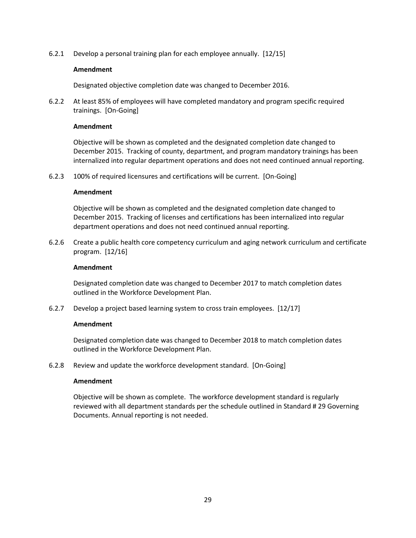6.2.1 Develop a personal training plan for each employee annually. [12/15]

### **Amendment**

Designated objective completion date was changed to December 2016.

6.2.2 At least 85% of employees will have completed mandatory and program specific required trainings. [On-Going]

### **Amendment**

Objective will be shown as completed and the designated completion date changed to December 2015. Tracking of county, department, and program mandatory trainings has been internalized into regular department operations and does not need continued annual reporting.

6.2.3 100% of required licensures and certifications will be current. [On-Going]

### **Amendment**

Objective will be shown as completed and the designated completion date changed to December 2015. Tracking of licenses and certifications has been internalized into regular department operations and does not need continued annual reporting.

6.2.6 Create a public health core competency curriculum and aging network curriculum and certificate program. [12/16]

### **Amendment**

Designated completion date was changed to December 2017 to match completion dates outlined in the Workforce Development Plan.

6.2.7 Develop a project based learning system to cross train employees. [12/17]

### **Amendment**

Designated completion date was changed to December 2018 to match completion dates outlined in the Workforce Development Plan.

6.2.8 Review and update the workforce development standard. [On-Going]

### **Amendment**

Objective will be shown as complete. The workforce development standard is regularly reviewed with all department standards per the schedule outlined in Standard # 29 Governing Documents. Annual reporting is not needed.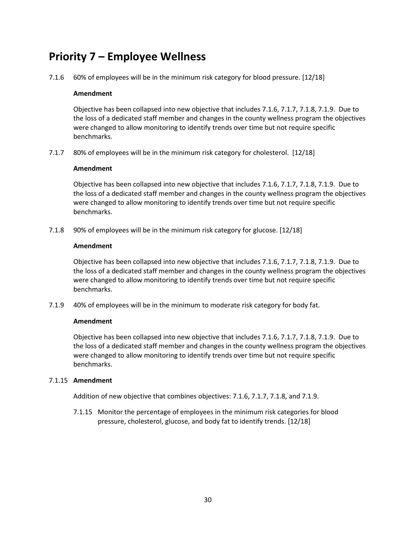### **Priority 7 – Employee Wellness**

7.1.6 60% of employees will be in the minimum risk category for blood pressure. [12/18]

### **Amendment**

Objective has been collapsed into new objective that includes 7.1.6, 7.1.7, 7.1.8, 7.1.9. Due to the loss of a dedicated staff member and changes in the county wellness program the objectives were changed to allow monitoring to identify trends over time but not require specific benchmarks.

7.1.7 80% of employees will be in the minimum risk category for cholesterol. [12/18]

### **Amendment**

Objective has been collapsed into new objective that includes 7.1.6, 7.1.7, 7.1.8, 7.1.9. Due to the loss of a dedicated staff member and changes in the county wellness program the objectives were changed to allow monitoring to identify trends over time but not require specific benchmarks.

7.1.8 90% of employees will be in the minimum risk category for glucose. [12/18]

### **Amendment**

Objective has been collapsed into new objective that includes 7.1.6, 7.1.7, 7.1.8, 7.1.9. Due to the loss of a dedicated staff member and changes in the county wellness program the objectives were changed to allow monitoring to identify trends over time but not require specific benchmarks.

7.1.9 40% of employees will be in the minimum to moderate risk category for body fat.

### **Amendment**

Objective has been collapsed into new objective that includes 7.1.6, 7.1.7, 7.1.8, 7.1.9. Due to the loss of a dedicated staff member and changes in the county wellness program the objectives were changed to allow monitoring to identify trends over time but not require specific benchmarks.

### 7.1.15 **Amendment**

Addition of new objective that combines objectives: 7.1.6, 7.1.7, 7.1.8, and 7.1.9.

7.1.15 Monitor the percentage of employees in the minimum risk categories for blood pressure, cholesterol, glucose, and body fat to identify trends. [12/18]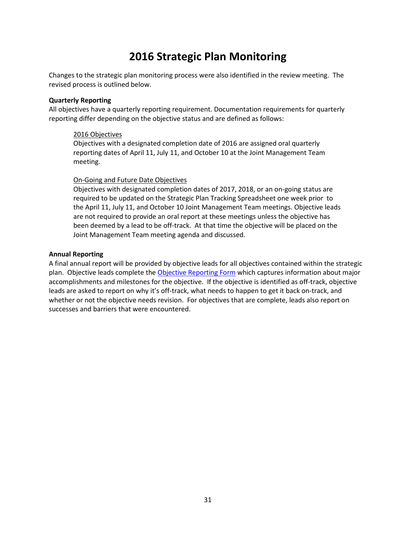### **2016 Strategic Plan Monitoring**

Changes to the strategic plan monitoring process were also identified in the review meeting. The revised process is outlined below.

### **Quarterly Reporting**

All objectives have a quarterly reporting requirement. Documentation requirements for quarterly reporting differ depending on the objective status and are defined as follows:

#### 2016 Objectives

Objectives with a designated completion date of 2016 are assigned oral quarterly reporting dates of April 11, July 11, and October 10 at the Joint Management Team meeting.

#### On-Going and Future Date Objectives

Objectives with designated completion dates of 2017, 2018, or an on-going status are required to be updated on the Strategic Plan Tracking Spreadsheet one week prior to the April 11, July 11, and October 10 Joint Management Team meetings. Objective leads are not required to provide an oral report at these meetings unless the objective has been deemed by a lead to be off-track. At that time the objective will be placed on the Joint Management Team meeting agenda and discussed.

#### **Annual Reporting**

A final annual report will be provided by objective leads for all objectives contained within the strategic plan. Objective leads complete the Objective Reporting Form which captures information about major accomplishments and milestones for the objective. If the objective is identified as off-track, objective leads are asked to report on why it's off-track, what needs to happen to get it back on-track, and whether or not the objective needs revision. For objectives that are complete, leads also report on successes and barriers that were encountered.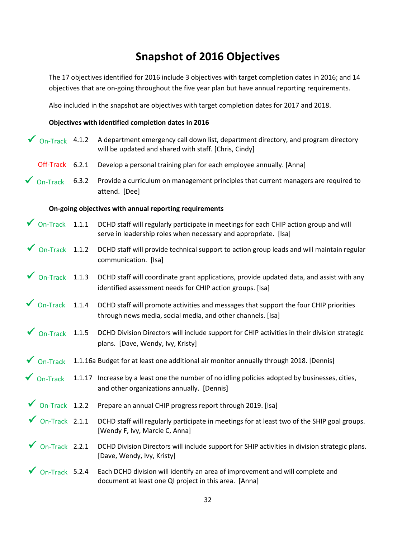### **Snapshot of 2016 Objectives**

The 17 objectives identified for 2016 include 3 objectives with target completion dates in 2016; and 14 objectives that are on-going throughout the five year plan but have annual reporting requirements.

Also included in the snapshot are objectives with target completion dates for 2017 and 2018.

### **Objectives with identified completion dates in 2016**

| $\sqrt{}$ On-Track 4.1.2            |       | A department emergency call down list, department directory, and program directory<br>will be updated and shared with staff. [Chris, Cindy]              |
|-------------------------------------|-------|----------------------------------------------------------------------------------------------------------------------------------------------------------|
| Off-Track 6.2.1                     |       | Develop a personal training plan for each employee annually. [Anna]                                                                                      |
| $\sqrt{\ }$ On-Track                | 6.3.2 | Provide a curriculum on management principles that current managers are required to<br>attend. [Dee]                                                     |
|                                     |       | On-going objectives with annual reporting requirements                                                                                                   |
| $\sqrt{\phantom{a}}$ On-Track 1.1.1 |       | DCHD staff will regularly participate in meetings for each CHIP action group and will<br>serve in leadership roles when necessary and appropriate. [Isa] |
| $\sqrt{}$ On-Track 1.1.2            |       | DCHD staff will provide technical support to action group leads and will maintain regular<br>communication. [Isa]                                        |
| $\sqrt{\phantom{a}}$ On-Track 1.1.3 |       | DCHD staff will coordinate grant applications, provide updated data, and assist with any<br>identified assessment needs for CHIP action groups. [Isa]    |
| $\sqrt{}$ On-Track 1.1.4            |       | DCHD staff will promote activities and messages that support the four CHIP priorities<br>through news media, social media, and other channels. [Isa]     |
| $\sqrt{\phantom{a}}$ On-Track       | 1.1.5 | DCHD Division Directors will include support for CHIP activities in their division strategic<br>plans. [Dave, Wendy, Ivy, Kristy]                        |
| $\sqrt{\ }$ On-Track                |       | 1.1.16a Budget for at least one additional air monitor annually through 2018. [Dennis]                                                                   |
| $\sqrt{\ }$ On-Track                |       | 1.1.17 Increase by a least one the number of no idling policies adopted by businesses, cities,<br>and other organizations annually. [Dennis]             |
| $\sqrt{}$ On-Track 1.2.2            |       | Prepare an annual CHIP progress report through 2019. [Isa]                                                                                               |
| $\sqrt{}$ On-Track 2.1.1            |       | DCHD staff will regularly participate in meetings for at least two of the SHIP goal groups.<br>[Wendy F, Ivy, Marcie C, Anna]                            |
| $\sqrt{\phantom{a}}$ On-Track 2.2.1 |       | DCHD Division Directors will include support for SHIP activities in division strategic plans.<br>[Dave, Wendy, Ivy, Kristy]                              |
| On-Track 5.2.4                      |       | Each DCHD division will identify an area of improvement and will complete and<br>document at least one QI project in this area. [Anna]                   |